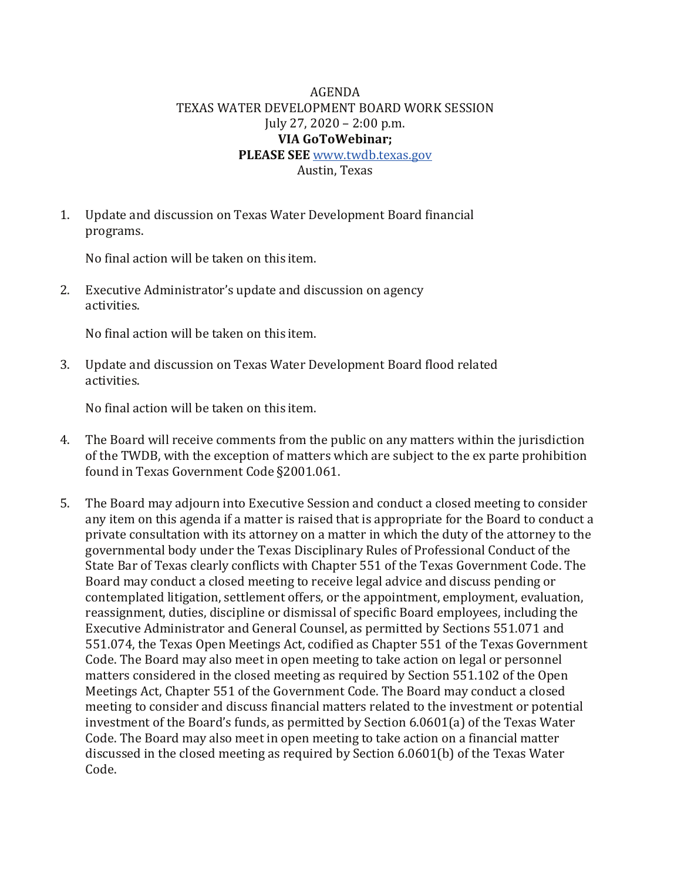## AGENDA TEXAS WATER DEVELOPMENT BOARD WORK SESSION July 27, 2020 – 2:00 p.m. **VIA GoToWebinar; PLEASE SEE** [www.twdb.texas.gov](http://www.twdb.texas.gov/) Austin, Texas

1. Update and discussion on Texas Water Development Board financial programs.

No final action will be taken on this item.

2. Executive Administrator's update and discussion on agency activities.

No final action will be taken on this item.

3. Update and discussion on Texas Water Development Board flood related activities.

No final action will be taken on this item.

- 4. The Board will receive comments from the public on any matters within the jurisdiction of the TWDB, with the exception of matters which are subject to the ex parte prohibition found in Texas Government Code §2001.061.
- 5. The Board may adjourn into Executive Session and conduct a closed meeting to consider any item on this agenda if a matter is raised that is appropriate for the Board to conduct a private consultation with its attorney on a matter in which the duty of the attorney to the governmental body under the Texas Disciplinary Rules of Professional Conduct of the State Bar of Texas clearly conflicts with Chapter 551 of the Texas Government Code. The Board may conduct a closed meeting to receive legal advice and discuss pending or contemplated litigation, settlement offers, or the appointment, employment, evaluation, reassignment, duties, discipline or dismissal of specific Board employees, including the Executive Administrator and General Counsel, as permitted by Sections 551.071 and 551.074, the Texas Open Meetings Act, codified as Chapter 551 of the Texas Government Code. The Board may also meet in open meeting to take action on legal or personnel matters considered in the closed meeting as required by Section 551.102 of the Open Meetings Act, Chapter 551 of the Government Code. The Board may conduct a closed meeting to consider and discuss financial matters related to the investment or potential investment of the Board's funds, as permitted by Section 6.0601(a) of the Texas Water Code. The Board may also meet in open meeting to take action on a financial matter discussed in the closed meeting as required by Section 6.0601(b) of the Texas Water Code.